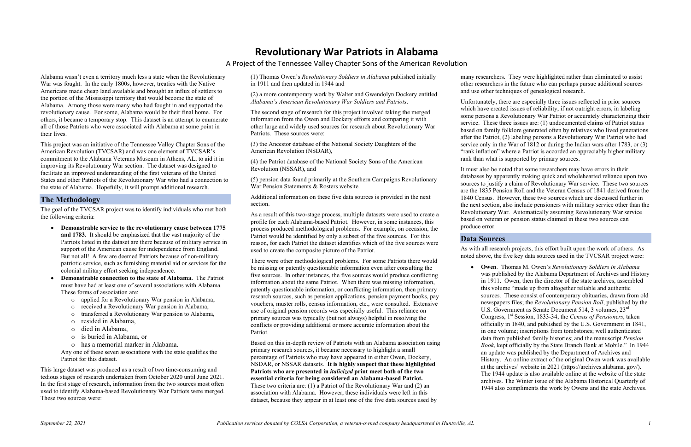Alabama wasn't even a territory much less a state when the Revolutionary War was fought. In the early 1800s, however, treaties with the Native Americans made cheap land available and brought an influx of settlers to the portion of the Mississippi territory that would become the state of Alabama. Among those were many who had fought in and supported the revolutionary cause. For some, Alabama would be their final home. For others, it became a temporary stop. This dataset is an attempt to enumerate all of those Patriots who were associated with Alabama at some point in their lives.

This project was an initiative of the Tennessee Valley Chapter Sons of the American Revolution (TVCSAR) and was one element of TVCSAR's commitment to the Alabama Veterans Museum in Athens, AL, to aid it in improving its Revolutionary War section. The dataset was designed to facilitate an improved understanding of the first veterans of the United States and other Patriots of the Revolutionary War who had a connection to the state of Alabama. Hopefully, it will prompt additional research.

### **The Methodology**

The goal of the TVCSAR project was to identify individuals who met both the following criteria:

- **Demonstrable service to the revolutionary cause between 1775 and 1783.** It should be emphasized that the vast majority of the Patriots listed in the dataset are there because of military service in support of the American cause for independence from England. But not all! A few are deemed Patriots because of non-military patriotic service, such as furnishing material aid or services for the colonial military effort seeking independence.
- **Demonstrable connection to the state of Alabama.** The Patriot must have had at least one of several associations with Alabama. These forms of association are:
	- o applied for a Revolutionary War pension in Alabama,
	- o received a Revolutionary War pension in Alabama,
	- o transferred a Revolutionary War pension to Alabama,
	- o resided in Alabama,
	- o died in Alabama,
	- o is buried in Alabama, or
	- o has a memorial marker in Alabama.

Any one of these seven associations with the state qualifies the Patriot for this dataset.

This large dataset was produced as a result of two time-consuming and tedious stages of research undertaken from October 2020 until June 2021. In the first stage of research, information from the two sources most often used to identify Alabama-based Revolutionary War Patriots were merged. These two sources were:

(1) Thomas Owen's *Revolutionary Soldiers in Alabama* published initially in 1911 and then updated in 1944 and

(2) a more contemporary work by Walter and Gwendolyn Dockery entitled *Alabama's American Revolutionary War Soldiers and Patriots*.

The second stage of research for this project involved taking the merged information from the Owen and Dockery efforts and comparing it with other large and widely used sources for research about Revolutionary War Patriots. These sources were:

(3) the Ancestor database of the National Society Daughters of the American Revolution (NSDAR),

(4) the Patriot database of the National Society Sons of the American Revolution (NSSAR), and

(5) pension data found primarily at the Southern Campaigns Revolutionary War Pension Statements & Rosters website.

Additional information on these five data sources is provided in the next section.

As a result of this two-stage process, multiple datasets were used to create a profile for each Alabama-based Patriot. However, in some instances, this process produced methodological problems. For example, on occasion, the Patriot would be identified by only a subset of the five sources. For this reason, for each Patriot the dataset identifies which of the five sources were used to create the composite picture of the Patriot.

There were other methodological problems. For some Patriots there would be missing or patently questionable information even after consulting the five sources. In other instances, the five sources would produce conflicting information about the same Patriot. When there was missing information, patently questionable information, or conflicting information, then primary research sources, such as pension applications, pension payment books, pay vouchers, muster rolls, census information, etc., were consulted. Extensive use of original pension records was especially useful. This reliance on primary sources was typically (but not always) helpful in resolving the conflicts or providing additional or more accurate information about the Patriot.

Based on this in-depth review of Patriots with an Alabama association using primary research sources, it became necessary to highlight a small percentage of Patriots who may have appeared in either Owen, Dockery, NSDAR, or NSSAR datasets. **It is highly suspect that these highlighted Patriots who are presented in** *italicized* **print meet both of the two essential criteria for being considered an Alabama-based Patriot.** These two criteria are: (1) a Patriot of the Revolutionary War and (2) an association with Alabama. However, these individuals were left in this dataset, because they appear in at least one of the five data sources used by

many researchers. They were highlighted rather than eliminated to assist other researchers in the future who can perhaps pursue additional sources and use other techniques of genealogical research.

Unfortunately, there are especially three issues reflected in prior sources which have created issues of reliability, if not outright errors, in labeling some persons a Revolutionary War Patriot or accurately characterizing their service. These three issues are: (1) undocumented claims of Patriot status based on family folklore generated often by relatives who lived generations after the Patriot, (2) labeling persons a Revolutionary War Patriot who had service only in the War of 1812 or during the Indian wars after 1783, or (3) "rank inflation" where a Patriot is accorded an appreciably higher military rank than what is supported by primary sources.

It must also be noted that some researchers may have errors in their databases by apparently making quick and wholehearted reliance upon two sources to justify a claim of Revolutionary War service. These two sources are the 1835 Pension Roll and the Veteran Census of 1841 derived from the 1840 Census. However, these two sources which are discussed further in the next section, also include pensioners with military service other than the Revolutionary War. Automatically assuming Revolutionary War service based on veteran or pension status claimed in these two sources can produce error.

## **Data Sources**

As with all research projects, this effort built upon the work of others. As noted above, the five key data sources used in the TVCSAR project were:

• **Owen**. Thomas M. Owen's *Revolutionary Soldiers in Alabama* was published by the Alabama Department of Archives and History in 1911. Owen, then the director of the state archives, assembled this volume "made up from altogether reliable and authentic sources. These consist of contemporary obituaries, drawn from old newspapers files; the *Revolutionary Pension Roll*, published by the U.S. Government as Senate Document 514, 3 volumes, 23<sup>rd</sup> Congress, 1st Session, 1833-34; the *Census of Pensioners*, taken officially in 1840, and published by the U.S. Government in 1841, in one volume; inscriptions from tombstones; well authenticated data from published family histories; and the manuscript *Pension Book*, kept officially by the State Branch Bank at Mobile." In 1944 an update was published by the Department of Archives and History. An online extract of the original Owen work was available at the archives' website in 2021 (https://archives.alabama. gov/). The 1944 update is also available online at the website of the state archives. The Winter issue of the Alabama Historical Quarterly of 1944 also compliments the work by Owens and the state Archives.

# **Revolutionary War Patriots in Alabama**

A Project of the Tennessee Valley Chapter Sons of the American Revolution